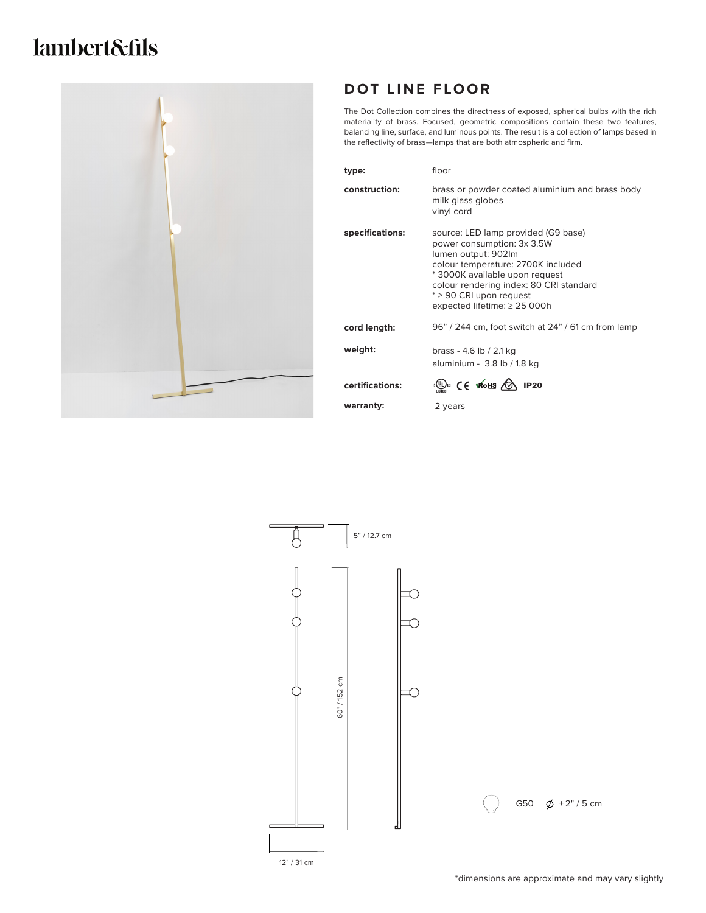# lambert&fils



## **DOT LINE FLOOR**

The Dot Collection combines the directness of exposed, spherical bulbs with the rich materiality of brass. Focused, geometric compositions contain these two features, balancing line, surface, and luminous points. The result is a collection of lamps based in the reflectivity of brass—lamps that are both atmospheric and firm.

| type:           | floor                                                                                                                                                                                                                                                                            |
|-----------------|----------------------------------------------------------------------------------------------------------------------------------------------------------------------------------------------------------------------------------------------------------------------------------|
| construction:   | brass or powder coated aluminium and brass body<br>milk glass globes<br>vinyl cord                                                                                                                                                                                               |
| specifications: | source: LED lamp provided (G9 base)<br>power consumption: 3x 3.5W<br>lumen output: 902lm<br>colour temperature: 2700K included<br>* 3000K available upon request<br>colour rendering index: 80 CRI standard<br>$* \geq 90$ CRI upon request<br>expected lifetime: $\geq$ 25 000h |
| cord length:    | 96" / 244 cm, foot switch at 24" / 61 cm from lamp                                                                                                                                                                                                                               |
| weight:         | brass - 4.6 lb / 2.1 kg<br>aluminium - 3.8 lb / 1.8 kg                                                                                                                                                                                                                           |
| certifications: | $\cdot$ (1) $\cdot$ (E WOHS $\circled{2}$ IP20                                                                                                                                                                                                                                   |
| warranty:       | 2 years                                                                                                                                                                                                                                                                          |